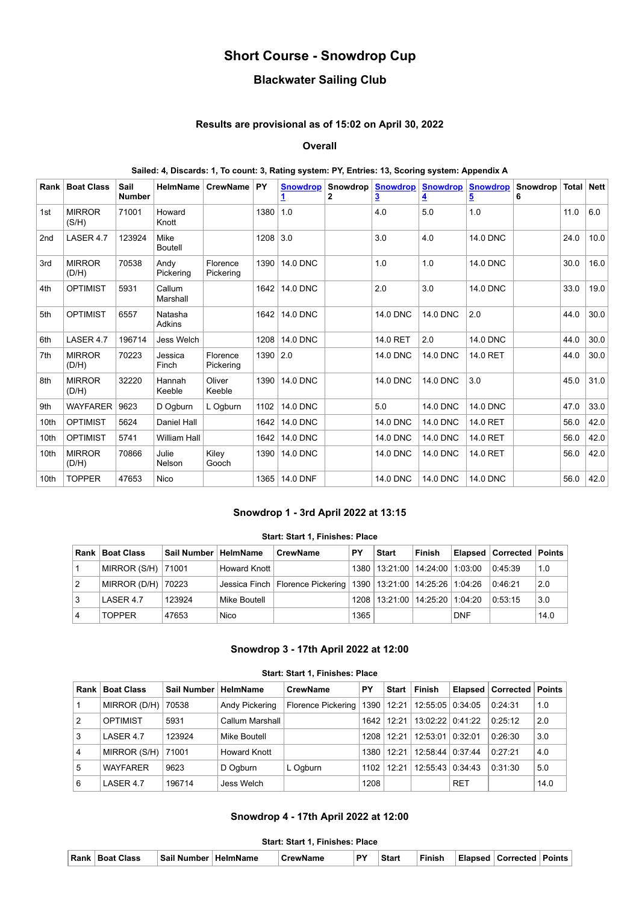# **Short Course - Snowdrop Cup**

## **Blackwater Sailing Club**

### **Results are provisional as of 15:02 on April 30, 2022**

#### **Overall**

## **Sailed: 4, Discards: 1, To count: 3, Rating system: PY, Entries: 13, Scoring system: Appendix A**

| Rank             | <b>Boat Class</b>      | Sail<br><b>Number</b> | HelmName                 | <b>CrewName</b>       | <b>PY</b>  | <b>Snowdrop</b><br>1 | $\mathbf{2}$ | Snowdrop   Snowdrop<br>3 | <b>Snowdrop</b><br>4 | <b>Snowdrop</b><br>5 | Snowdrop<br>6 | Total | <b>Nett</b> |
|------------------|------------------------|-----------------------|--------------------------|-----------------------|------------|----------------------|--------------|--------------------------|----------------------|----------------------|---------------|-------|-------------|
| 1st              | <b>MIRROR</b><br>(S/H) | 71001                 | Howard<br>Knott          |                       | 1380       | 1.0                  |              | 4.0                      | 5.0                  | 1.0                  |               | 11.0  | 6.0         |
| 2 <sub>nd</sub>  | LASER 4.7              | 123924                | Mike<br><b>Boutell</b>   |                       | $1208$ 3.0 |                      |              | 3.0                      | 4.0                  | <b>14.0 DNC</b>      |               | 24.0  | 10.0        |
| 3rd              | <b>MIRROR</b><br>(D/H) | 70538                 | Andy<br>Pickering        | Florence<br>Pickering | 1390       | <b>14.0 DNC</b>      |              | 1.0                      | 1.0                  | <b>14.0 DNC</b>      |               | 30.0  | 16.0        |
| 4th              | <b>OPTIMIST</b>        | 5931                  | Callum<br>Marshall       |                       | 1642       | <b>14.0 DNC</b>      |              | 2.0                      | 3.0                  | <b>14.0 DNC</b>      |               | 33.0  | 19.0        |
| 5th              | <b>OPTIMIST</b>        | 6557                  | Natasha<br><b>Adkins</b> |                       | 1642       | <b>14.0 DNC</b>      |              | <b>14.0 DNC</b>          | <b>14.0 DNC</b>      | 2.0                  |               | 44.0  | 30.0        |
| 6th              | LASER 4.7              | 196714                | Jess Welch               |                       | 1208       | <b>14.0 DNC</b>      |              | 14.0 RET                 | 2.0                  | <b>14.0 DNC</b>      |               | 44.0  | 30.0        |
| 7th              | <b>MIRROR</b><br>(D/H) | 70223                 | Jessica<br>Finch         | Florence<br>Pickering | 1390       | 2.0                  |              | <b>14.0 DNC</b>          | <b>14.0 DNC</b>      | 14.0 RET             |               | 44.0  | 30.0        |
| 8th              | <b>MIRROR</b><br>(D/H) | 32220                 | Hannah<br>Keeble         | Oliver<br>Keeble      | 1390       | <b>14.0 DNC</b>      |              | <b>14.0 DNC</b>          | <b>14.0 DNC</b>      | 3.0                  |               | 45.0  | 31.0        |
| 9th              | <b>WAYFARER</b>        | 9623                  | D Ogburn                 | L Ogburn              | 1102       | <b>14.0 DNC</b>      |              | 5.0                      | <b>14.0 DNC</b>      | <b>14.0 DNC</b>      |               | 47.0  | 33.0        |
| 10th             | <b>OPTIMIST</b>        | 5624                  | Daniel Hall              |                       | 1642       | <b>14.0 DNC</b>      |              | <b>14.0 DNC</b>          | <b>14.0 DNC</b>      | 14.0 RET             |               | 56.0  | 42.0        |
| 10th             | <b>OPTIMIST</b>        | 5741                  | <b>William Hall</b>      |                       | 1642       | <b>14.0 DNC</b>      |              | <b>14.0 DNC</b>          | <b>14.0 DNC</b>      | 14.0 RET             |               | 56.0  | 42.0        |
| 10th             | <b>MIRROR</b><br>(D/H) | 70866                 | Julie<br>Nelson          | Kiley<br>Gooch        | 1390       | <b>14.0 DNC</b>      |              | <b>14.0 DNC</b>          | <b>14.0 DNC</b>      | 14.0 RET             |               | 56.0  | 42.0        |
| 10 <sub>th</sub> | <b>TOPPER</b>          | 47653                 | Nico                     |                       | 1365       | <b>14.0 DNF</b>      |              | <b>14.0 DNC</b>          | <b>14.0 DNC</b>      | <b>14.0 DNC</b>      |               | 56.0  | 42.0        |

#### **Snowdrop 1 - 3rd April 2022 at 13:15**

#### **Start: Start 1, Finishes: Place**

<span id="page-0-0"></span>

|    | Rank   Boat Class    | Sail Number   HelmName |                     | <b>CrewName</b>                                                           | PΥ   | <b>Start</b>                         | Finish |            | Elapsed   Corrected   Points |      |
|----|----------------------|------------------------|---------------------|---------------------------------------------------------------------------|------|--------------------------------------|--------|------------|------------------------------|------|
|    | MIRROR (S/H)   71001 |                        | <b>Howard Knott</b> |                                                                           |      | 1380   13:21:00   14:24:00   1:03:00 |        |            | 0:45:39                      | 1.0  |
| 12 | MIRROR (D/H)   70223 |                        |                     | Jessica Finch   Florence Pickering   1390   13:21:00   14:25:26   1:04:26 |      |                                      |        |            | 0:46:21                      | 2.0  |
| Ι3 | LASER 4.7            | 123924                 | Mike Boutell        |                                                                           |      | 1208   13:21:00   14:25:20   1:04:20 |        |            | 0:53:15                      | 3.0  |
| 14 | <b>TOPPER</b>        | 47653                  | <b>Nico</b>         |                                                                           | 1365 |                                      |        | <b>DNF</b> |                              | 14.0 |

#### **Snowdrop 3 - 17th April 2022 at 12:00**

<span id="page-0-1"></span>

| Start: Start 1, Finishes: Place |                   |             |                     |                    |      |       |          |            |           |        |  |
|---------------------------------|-------------------|-------------|---------------------|--------------------|------|-------|----------|------------|-----------|--------|--|
| Rank                            | <b>Boat Class</b> | Sail Number | HelmName            | <b>CrewName</b>    | PY   | Start | Finish   | Elapsed    | Corrected | Points |  |
|                                 | MIRROR (D/H)      | 70538       | Andy Pickering      | Florence Pickering | 1390 | 12:21 | 12:55:05 | 0:34:05    | 0:24:31   | 1.0    |  |
| 2                               | <b>OPTIMIST</b>   | 5931        | Callum Marshall     |                    | 1642 | 12:21 | 13.02.22 | 0:41:22    | 0:25:12   | 2.0    |  |
| 3                               | LASER 4.7         | 123924      | Mike Boutell        |                    | 1208 | 12:21 | 12:53:01 | 0:32:01    | 0:26:30   | 3.0    |  |
| $\overline{4}$                  | MIRROR (S/H)      | 71001       | <b>Howard Knott</b> |                    | 1380 | 12:21 | 12:58:44 | 0:37:44    | 0:27:21   | 4.0    |  |
| 5                               | <b>WAYFARER</b>   | 9623        | D Ogburn            | L Ogburn           | 1102 | 12:21 | 12:55:43 | 0:34:43    | 0:31:30   | 5.0    |  |
| 6                               | LASER 4.7         | 196714      | Jess Welch          |                    | 1208 |       |          | <b>RET</b> |           | 14.0   |  |

## **Snowdrop 4 - 17th April 2022 at 12:00**

#### **Start: Start 1, Finishes: Place**

<span id="page-0-2"></span>